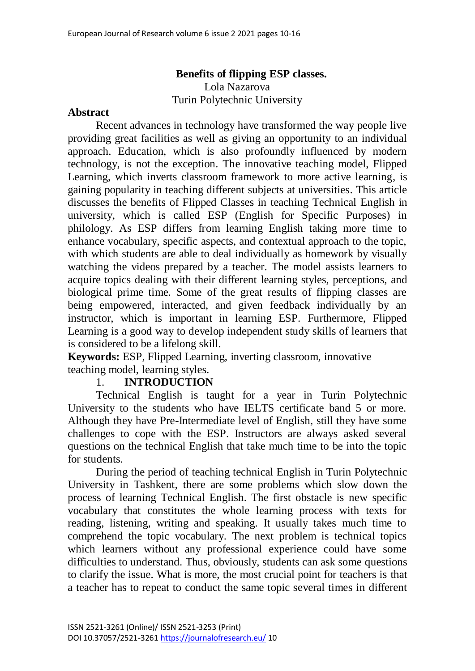# **Benefits of flipping ESP classes.** Lola Nazarova Turin Polytechnic University

#### **Abstract**

Recent advances in technology have transformed the way people live providing great facilities as well as giving an opportunity to an individual approach. Education, which is also profoundly influenced by modern technology, is not the exception. The innovative teaching model, Flipped Learning, which inverts classroom framework to more active learning, is gaining popularity in teaching different subjects at universities. This article discusses the benefits of Flipped Classes in teaching Technical English in university, which is called ESP (English for Specific Purposes) in philology. As ESP differs from learning English taking more time to enhance vocabulary, specific aspects, and contextual approach to the topic, with which students are able to deal individually as homework by visually watching the videos prepared by a teacher. The model assists learners to acquire topics dealing with their different learning styles, perceptions, and biological prime time. Some of the great results of flipping classes are being empowered, interacted, and given feedback individually by an instructor, which is important in learning ESP. Furthermore, Flipped Learning is a good way to develop independent study skills of learners that is considered to be a lifelong skill.

**Keywords:** ESP, Flipped Learning, inverting classroom, innovative teaching model, learning styles.

#### 1. **INTRODUCTION**

Technical English is taught for a year in Turin Polytechnic University to the students who have IELTS certificate band 5 or more. Although they have Pre-Intermediate level of English, still they have some challenges to cope with the ESP. Instructors are always asked several questions on the technical English that take much time to be into the topic for students.

During the period of teaching technical English in Turin Polytechnic University in Tashkent, there are some problems which slow down the process of learning Technical English. The first obstacle is new specific vocabulary that constitutes the whole learning process with texts for reading, listening, writing and speaking. It usually takes much time to comprehend the topic vocabulary. The next problem is technical topics which learners without any professional experience could have some difficulties to understand. Thus, obviously, students can ask some questions to clarify the issue. What is more, the most crucial point for teachers is that a teacher has to repeat to conduct the same topic several times in different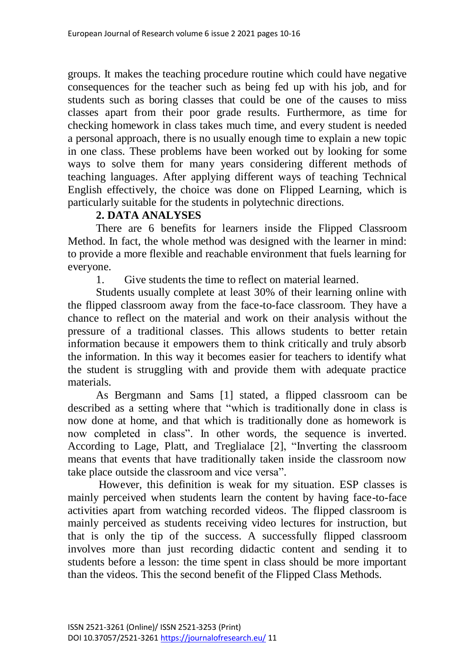groups. It makes the teaching procedure routine which could have negative consequences for the teacher such as being fed up with his job, and for students such as boring classes that could be one of the causes to miss classes apart from their poor grade results. Furthermore, as time for checking homework in class takes much time, and every student is needed a personal approach, there is no usually enough time to explain a new topic in one class. These problems have been worked out by looking for some ways to solve them for many years considering different methods of teaching languages. After applying different ways of teaching Technical English effectively, the choice was done on Flipped Learning, which is particularly suitable for the students in polytechnic directions.

## **2. DATA ANALYSES**

There are 6 benefits for learners inside the Flipped Classroom Method. In fact, the whole method was designed with the learner in mind: to provide a more flexible and reachable environment that fuels learning for everyone.

1. Give students the time to reflect on material learned.

Students usually complete at least 30% of their learning online with the flipped classroom away from the face-to-face classroom. They have a chance to reflect on the material and work on their analysis without the pressure of a traditional classes. This allows students to better retain information because it empowers them to think critically and truly absorb the information. In this way it becomes easier for teachers to identify what the student is struggling with and provide them with adequate practice materials.

As Bergmann and Sams [1] stated, a flipped classroom can be described as a setting where that "which is traditionally done in class is now done at home, and that which is traditionally done as homework is now completed in class". In other words, the sequence is inverted. According to Lage, Platt, and Treglialace [2], "Inverting the classroom means that events that have traditionally taken inside the classroom now take place outside the classroom and vice versa".

However, this definition is weak for my situation. ESP classes is mainly perceived when students learn the content by having face-to-face activities apart from watching recorded videos. The flipped classroom is mainly perceived as students receiving video lectures for instruction, but that is only the tip of the success. A successfully flipped classroom involves more than just recording didactic content and sending it to students before a lesson: the time spent in class should be more important than the videos. This the second benefit of the Flipped Class Methods.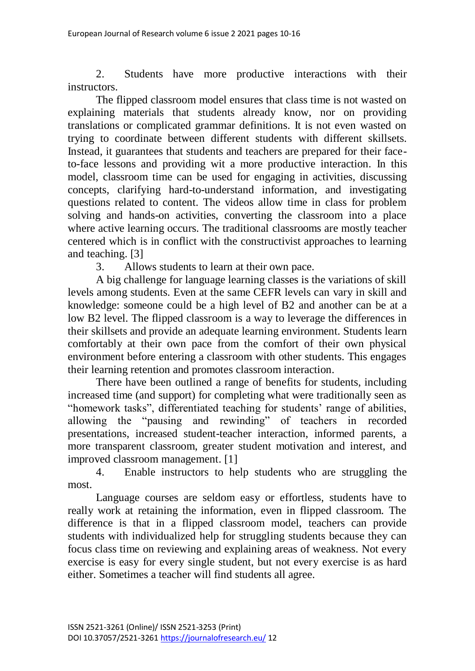2. Students have more productive interactions with their instructors.

The flipped classroom model ensures that class time is not wasted on explaining materials that students already know, nor on providing translations or complicated grammar definitions. It is not even wasted on trying to coordinate between different students with different skillsets. Instead, it guarantees that students and teachers are prepared for their faceto-face lessons and providing wit a more productive interaction. In this model, classroom time can be used for engaging in activities, discussing concepts, clarifying hard-to-understand information, and investigating questions related to content. The videos allow time in class for problem solving and hands-on activities, converting the classroom into a place where active learning occurs. The traditional classrooms are mostly teacher centered which is in conflict with the constructivist approaches to learning and teaching. [3]

3. Allows students to learn at their own pace.

A big challenge for language learning classes is the variations of skill levels among students. Even at the same CEFR levels can vary in skill and knowledge: someone could be a high level of B2 and another can be at a low B2 level. The flipped classroom is a way to leverage the differences in their skillsets and provide an adequate learning environment. Students learn comfortably at their own pace from the comfort of their own physical environment before entering a classroom with other students. This engages their learning retention and promotes classroom interaction.

There have been outlined a range of benefits for students, including increased time (and support) for completing what were traditionally seen as "homework tasks", differentiated teaching for students' range of abilities, allowing the "pausing and rewinding" of teachers in recorded presentations, increased student-teacher interaction, informed parents, a more transparent classroom, greater student motivation and interest, and improved classroom management. [1]

4. Enable instructors to help students who are struggling the most.

Language courses are seldom easy or effortless, students have to really work at retaining the information, even in flipped classroom. The difference is that in a flipped classroom model, teachers can provide students with individualized help for struggling students because they can focus class time on reviewing and explaining areas of weakness. Not every exercise is easy for every single student, but not every exercise is as hard either. Sometimes a teacher will find students all agree.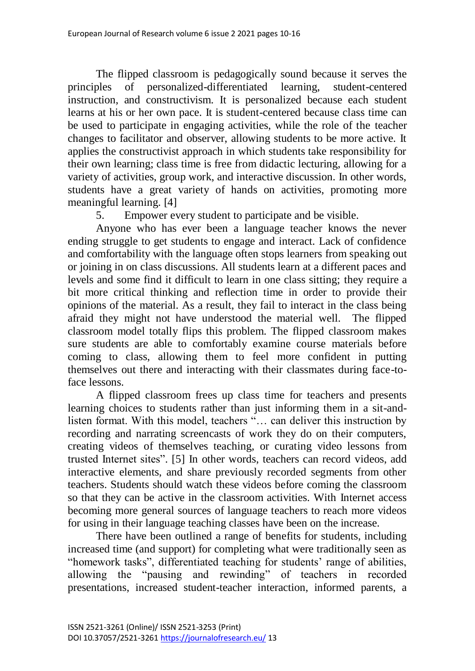The flipped classroom is pedagogically sound because it serves the principles of personalized-differentiated learning, student-centered instruction, and constructivism. It is personalized because each student learns at his or her own pace. It is student-centered because class time can be used to participate in engaging activities, while the role of the teacher changes to facilitator and observer, allowing students to be more active. It applies the constructivist approach in which students take responsibility for their own learning; class time is free from didactic lecturing, allowing for a variety of activities, group work, and interactive discussion. In other words, students have a great variety of hands on activities, promoting more meaningful learning. [4]

5. Empower every student to participate and be visible.

Anyone who has ever been a language teacher knows the never ending struggle to get students to engage and interact. Lack of confidence and comfortability with the language often stops learners from speaking out or joining in on class discussions. All students learn at a different paces and levels and some find it difficult to learn in one class sitting; they require a bit more critical thinking and reflection time in order to provide their opinions of the material. As a result, they fail to interact in the class being afraid they might not have understood the material well. The flipped classroom model totally flips this problem. The flipped classroom makes sure students are able to comfortably examine course materials before coming to class, allowing them to feel more confident in putting themselves out there and interacting with their classmates during face-toface lessons.

A flipped classroom frees up class time for teachers and presents learning choices to students rather than just informing them in a sit-andlisten format. With this model, teachers "… can deliver this instruction by recording and narrating screencasts of work they do on their computers, creating videos of themselves teaching, or curating video lessons from trusted Internet sites". [5] In other words, teachers can record videos, add interactive elements, and share previously recorded segments from other teachers. Students should watch these videos before coming the classroom so that they can be active in the classroom activities. With Internet access becoming more general sources of language teachers to reach more videos for using in their language teaching classes have been on the increase.

There have been outlined a range of benefits for students, including increased time (and support) for completing what were traditionally seen as "homework tasks", differentiated teaching for students' range of abilities, allowing the "pausing and rewinding" of teachers in recorded presentations, increased student-teacher interaction, informed parents, a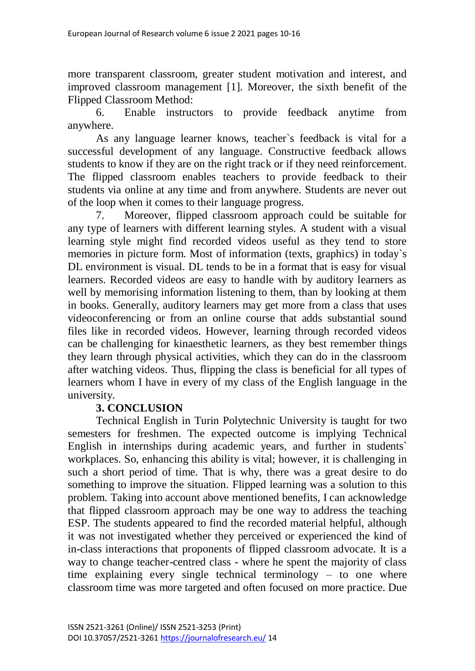more transparent classroom, greater student motivation and interest, and improved classroom management [1]. Moreover, the sixth benefit of the Flipped Classroom Method:

6. Enable instructors to provide feedback anytime from anywhere.

As any language learner knows, teacher`s feedback is vital for a successful development of any language. Constructive feedback allows students to know if they are on the right track or if they need reinforcement. The flipped classroom enables teachers to provide feedback to their students via online at any time and from anywhere. Students are never out of the loop when it comes to their language progress.

7. Moreover, flipped classroom approach could be suitable for any type of learners with different learning styles. A student with a visual learning style might find recorded videos useful as they tend to store memories in picture form. Most of information (texts, graphics) in today`s DL environment is visual. DL tends to be in a format that is easy for visual learners. Recorded videos are easy to handle with by auditory learners as well by memorising information listening to them, than by looking at them in books. Generally, auditory learners may get more from a class that uses videoconferencing or from an online course that adds substantial sound files like in recorded videos. However, learning through recorded videos can be challenging for kinaesthetic learners, as they best remember things they learn through physical activities, which they can do in the classroom after watching videos. Thus, flipping the class is beneficial for all types of learners whom I have in every of my class of the English language in the university.

### **3. CONCLUSION**

Technical English in Turin Polytechnic University is taught for two semesters for freshmen. The expected outcome is implying Technical English in internships during academic years, and further in students` workplaces. So, enhancing this ability is vital; however, it is challenging in such a short period of time. That is why, there was a great desire to do something to improve the situation. Flipped learning was a solution to this problem. Taking into account above mentioned benefits, I can acknowledge that flipped classroom approach may be one way to address the teaching ESP. The students appeared to find the recorded material helpful, although it was not investigated whether they perceived or experienced the kind of in-class interactions that proponents of flipped classroom advocate. It is a way to change teacher-centred class - where he spent the majority of class time explaining every single technical terminology – to one where classroom time was more targeted and often focused on more practice. Due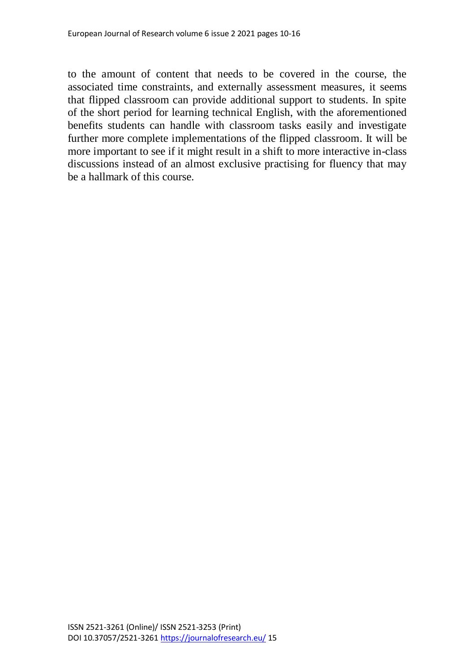to the amount of content that needs to be covered in the course, the associated time constraints, and externally assessment measures, it seems that flipped classroom can provide additional support to students. In spite of the short period for learning technical English, with the aforementioned benefits students can handle with classroom tasks easily and investigate further more complete implementations of the flipped classroom. It will be more important to see if it might result in a shift to more interactive in-class discussions instead of an almost exclusive practising for fluency that may be a hallmark of this course.